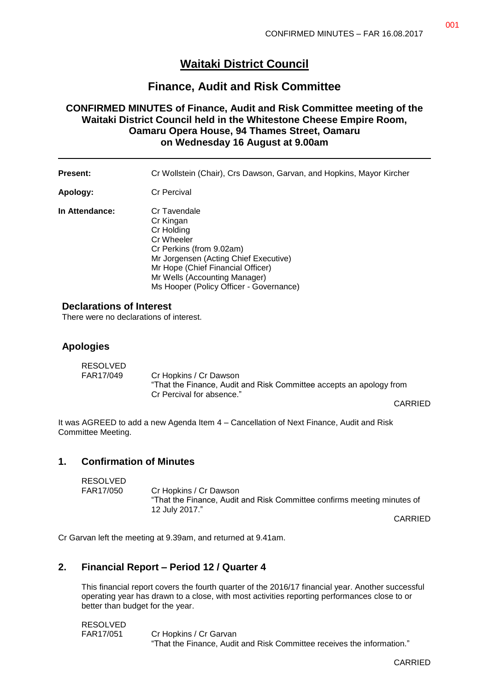# **Waitaki District Council**

## **Finance, Audit and Risk Committee**

## **CONFIRMED MINUTES of Finance, Audit and Risk Committee meeting of the Waitaki District Council held in the Whitestone Cheese Empire Room, Oamaru Opera House, 94 Thames Street, Oamaru on Wednesday 16 August at 9.00am**

**Present:** Cr Wollstein (Chair), Crs Dawson, Garvan, and Hopkins, Mayor Kircher **Apology:** Cr Percival **In Attendance:** Cr Tavendale Cr Kingan Cr Holding Cr Wheeler Cr Perkins (from 9.02am) Mr Jorgensen (Acting Chief Executive) Mr Hope (Chief Financial Officer)

Mr Wells (Accounting Manager)

Ms Hooper (Policy Officer - Governance)

#### **Declarations of Interest**

There were no declarations of interest.

#### **Apologies**

| <b>RESOLVED</b> |                                                                     |  |
|-----------------|---------------------------------------------------------------------|--|
| FAR17/049       | Cr Hopkins / Cr Dawson                                              |  |
|                 | "That the Finance, Audit and Risk Committee accepts an apology from |  |
|                 | Cr Percival for absence."                                           |  |

CARRIED

It was AGREED to add a new Agenda Item 4 – Cancellation of Next Finance, Audit and Risk Committee Meeting.

#### **1. Confirmation of Minutes**

| <b>RESOLVED</b> |                                                                                                                     |
|-----------------|---------------------------------------------------------------------------------------------------------------------|
| FAR17/050       | Cr Hopkins / Cr Dawson<br>"That the Finance, Audit and Risk Committee confirms meeting minutes of<br>12 July 2017." |
|                 |                                                                                                                     |

CARRIED

Cr Garvan left the meeting at 9.39am, and returned at 9.41am.

#### **2. Financial Report – Period 12 / Quarter 4**

This financial report covers the fourth quarter of the 2016/17 financial year. Another successful operating year has drawn to a close, with most activities reporting performances close to or better than budget for the year.

RESOLVED FAR17/051 Cr Hopkins / Cr Garvan "That the Finance, Audit and Risk Committee receives the information."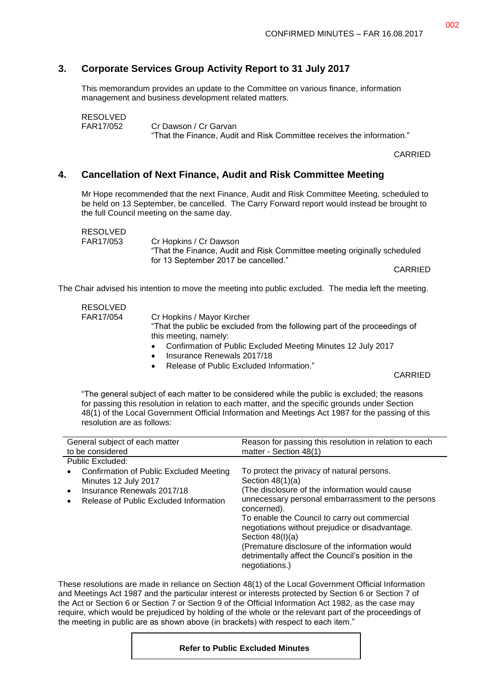### **3. Corporate Services Group Activity Report to 31 July 2017**

This memorandum provides an update to the Committee on various finance, information management and business development related matters.

| <b>RESOLVED</b> |                                                                        |
|-----------------|------------------------------------------------------------------------|
| FAR17/052       | Cr Dawson / Cr Garvan                                                  |
|                 | "That the Finance, Audit and Risk Committee receives the information." |

CARRIED

#### **4. Cancellation of Next Finance, Audit and Risk Committee Meeting**

Mr Hope recommended that the next Finance, Audit and Risk Committee Meeting, scheduled to be held on 13 September, be cancelled. The Carry Forward report would instead be brought to the full Council meeting on the same day.

| RESOLVED  |                                                                          |
|-----------|--------------------------------------------------------------------------|
| FAR17/053 | Cr Hopkins / Cr Dawson                                                   |
|           | "That the Finance, Audit and Risk Committee meeting originally scheduled |
|           | for 13 September 2017 be cancelled."                                     |

CARRIED

The Chair advised his intention to move the meeting into public excluded. The media left the meeting.

| <b>RESOLVED</b> |                                                                            |
|-----------------|----------------------------------------------------------------------------|
| FAR17/054       | Cr Hopkins / Mayor Kircher                                                 |
|                 | "That the public be excluded from the following part of the proceedings of |
|                 | this meeting, namely:                                                      |
|                 | Confirmation of Public Excluded Meeting Minutes 12 July 2017<br>$\bullet$  |
|                 | Insurance Renewals 2017/18<br>$\bullet$                                    |
|                 | Release of Public Excluded Information."                                   |

CARRIED

"The general subject of each matter to be considered while the public is excluded; the reasons for passing this resolution in relation to each matter, and the specific grounds under Section 48(1) of the Local Government Official Information and Meetings Act 1987 for the passing of this resolution are as follows:

| General subject of each matter                                                                                                                                                 | Reason for passing this resolution in relation to each                                                                                                                                                                                                                                                                                                                                                                    |
|--------------------------------------------------------------------------------------------------------------------------------------------------------------------------------|---------------------------------------------------------------------------------------------------------------------------------------------------------------------------------------------------------------------------------------------------------------------------------------------------------------------------------------------------------------------------------------------------------------------------|
| to be considered                                                                                                                                                               | matter - Section 48(1)                                                                                                                                                                                                                                                                                                                                                                                                    |
| Public Excluded:                                                                                                                                                               |                                                                                                                                                                                                                                                                                                                                                                                                                           |
| Confirmation of Public Excluded Meeting<br>$\bullet$<br>Minutes 12 July 2017<br>Insurance Renewals 2017/18<br>$\bullet$<br>Release of Public Excluded Information<br>$\bullet$ | To protect the privacy of natural persons.<br>Section $48(1)(a)$<br>(The disclosure of the information would cause)<br>unnecessary personal embarrassment to the persons<br>concerned).<br>To enable the Council to carry out commercial<br>negotiations without prejudice or disadvantage.<br>Section $48(l)(a)$<br>(Premature disclosure of the information would<br>detrimentally affect the Council's position in the |
|                                                                                                                                                                                | negotiations.)                                                                                                                                                                                                                                                                                                                                                                                                            |

These resolutions are made in reliance on Section 48(1) of the Local Government Official Information and Meetings Act 1987 and the particular interest or interests protected by Section 6 or Section 7 of the Act or Section 6 or Section 7 or Section 9 of the Official Information Act 1982, as the case may require, which would be prejudiced by holding of the whole or the relevant part of the proceedings of the meeting in public are as shown above (in brackets) with respect to each item."

#### **Refer to Public Excluded Minutes**